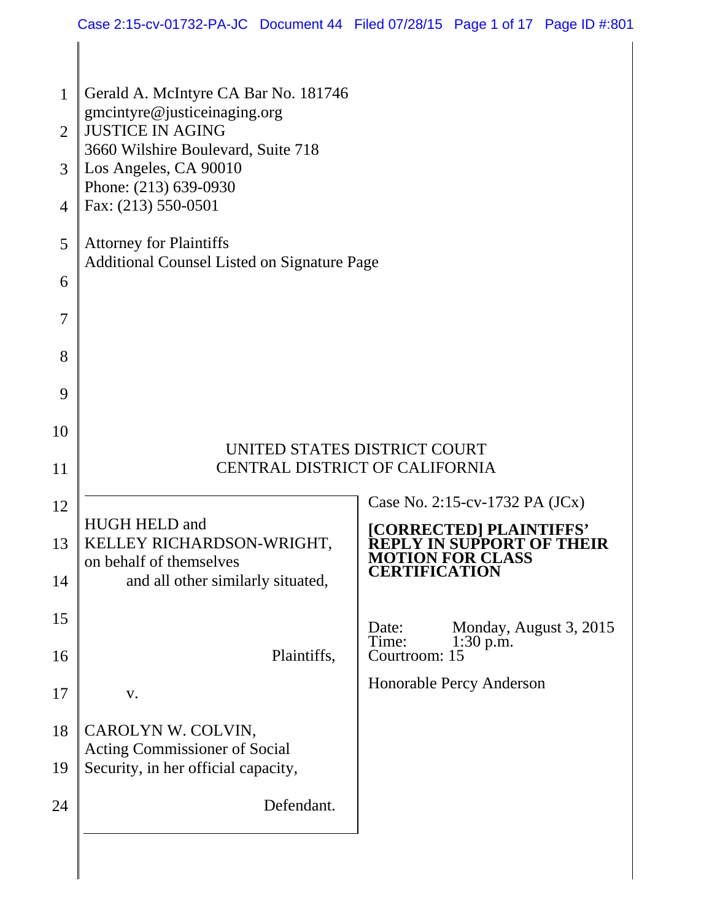|                | Case 2:15-cv-01732-PA-JC Document 44 Filed 07/28/15 Page 1 of 17 Page ID #:801                |                              |                                                                                        |  |
|----------------|-----------------------------------------------------------------------------------------------|------------------------------|----------------------------------------------------------------------------------------|--|
|                |                                                                                               |                              |                                                                                        |  |
| 1              | Gerald A. McIntyre CA Bar No. 181746                                                          |                              |                                                                                        |  |
| $\overline{2}$ | gmcintyre@justiceinaging.org<br><b>JUSTICE IN AGING</b><br>3660 Wilshire Boulevard, Suite 718 |                              |                                                                                        |  |
| 3              | Los Angeles, CA 90010<br>Phone: (213) 639-0930                                                |                              |                                                                                        |  |
| $\overline{4}$ | Fax: (213) 550-0501                                                                           |                              |                                                                                        |  |
| 5              | <b>Attorney for Plaintiffs</b><br><b>Additional Counsel Listed on Signature Page</b>          |                              |                                                                                        |  |
| 6              |                                                                                               |                              |                                                                                        |  |
| $\overline{7}$ |                                                                                               |                              |                                                                                        |  |
| 8              |                                                                                               |                              |                                                                                        |  |
| 9              |                                                                                               |                              |                                                                                        |  |
| 10             |                                                                                               | UNITED STATES DISTRICT COURT |                                                                                        |  |
| 11             | <b>CENTRAL DISTRICT OF CALIFORNIA</b>                                                         |                              |                                                                                        |  |
| 12             | <b>HUGH HELD and</b>                                                                          |                              | Case No. 2:15-cv-1732 PA (JCx)                                                         |  |
| 13             | KELLEY RICHARDSON-WRIGHT,<br>on behalf of themselves                                          |                              | [CORRECTED] PLAINTIFFS'<br><b>REPLY IN SUPPORT OF THEIR</b><br><b>MOTION FOR CLASS</b> |  |
| 14             | and all other similarly situated,                                                             | <b>CERTIFICATION</b>         |                                                                                        |  |
| 15             |                                                                                               | Date:<br>Time:               | Monday, August 3, 2015<br>$1:30$ p.m.                                                  |  |
| 16             | Plaintiffs,                                                                                   | Courtroom: 15                | Honorable Percy Anderson                                                               |  |
| 17             | V.                                                                                            |                              |                                                                                        |  |
| 18             | CAROLYN W. COLVIN,<br><b>Acting Commissioner of Social</b>                                    |                              |                                                                                        |  |
| 19             | Security, in her official capacity,                                                           |                              |                                                                                        |  |
| 24             | Defendant.                                                                                    |                              |                                                                                        |  |
|                |                                                                                               |                              |                                                                                        |  |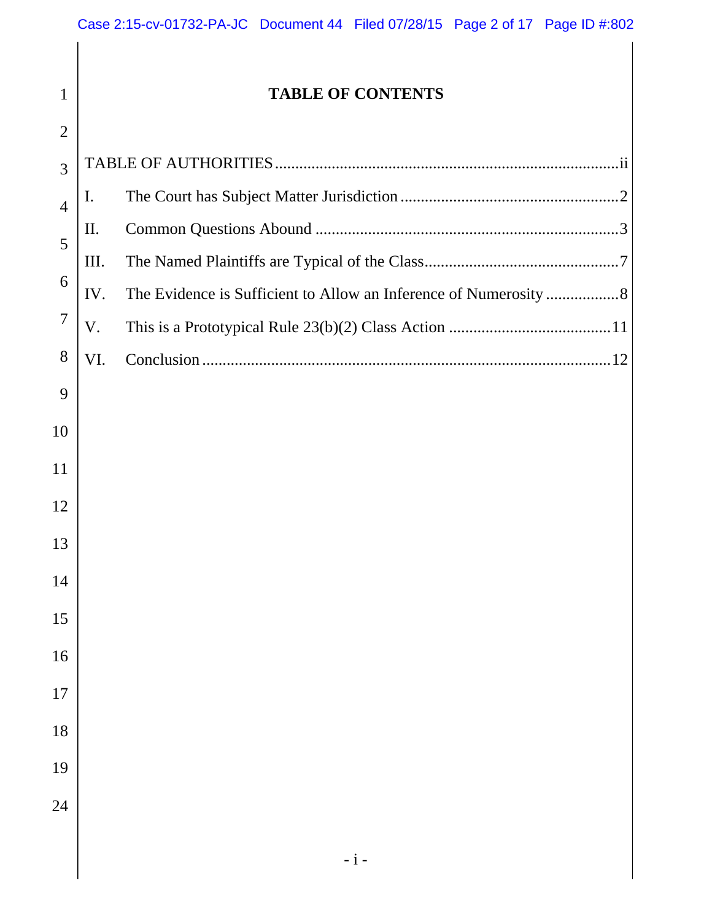| $\mathbf{1}$   |     | <b>TABLE OF CONTENTS</b> |
|----------------|-----|--------------------------|
| $\overline{2}$ |     |                          |
| 3              |     |                          |
| $\overline{4}$ | I.  |                          |
| 5              | П.  |                          |
| 6              | Ш.  |                          |
|                | IV. |                          |
| 7              | V.  |                          |
| 8              | VI. |                          |
| 9              |     |                          |
| 10             |     |                          |
| 11             |     |                          |
| 12             |     |                          |
| 13             |     |                          |
|                |     |                          |
| 14             |     |                          |
| 15             |     |                          |
| 16             |     |                          |
| 17             |     |                          |
| 18             |     |                          |
| 19             |     |                          |
| 24             |     |                          |
|                |     |                          |
|                |     |                          |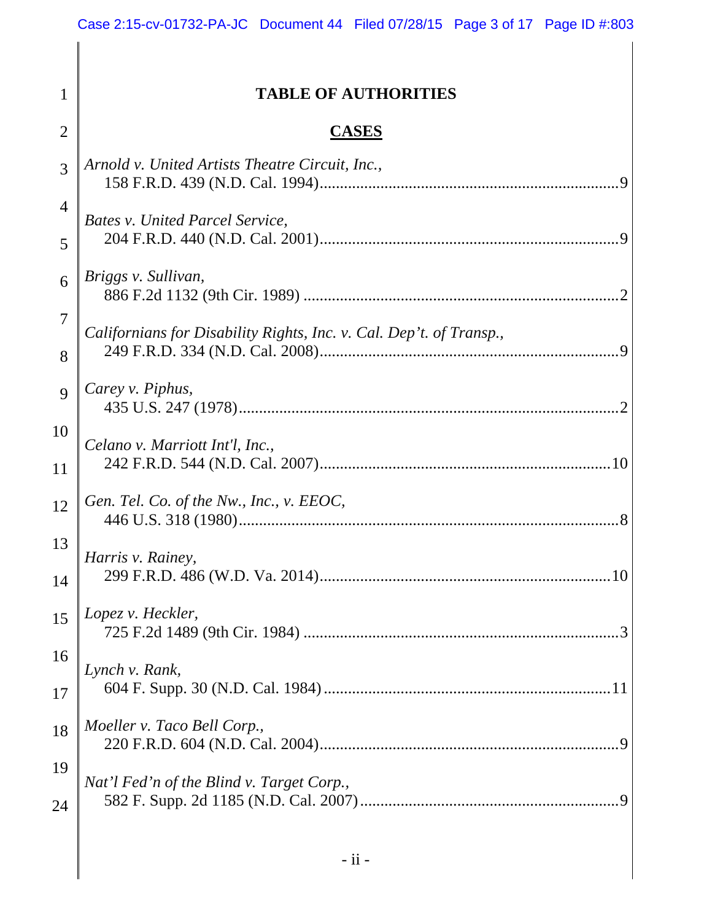# **TABLE OF AUTHORITIES**

1

2

# **CASES**

| 3              | Arnold v. United Artists Theatre Circuit, Inc.,                     |
|----------------|---------------------------------------------------------------------|
| $\overline{4}$ | <b>Bates v. United Parcel Service,</b>                              |
| 5              |                                                                     |
| 6              | Briggs v. Sullivan,                                                 |
| 7              |                                                                     |
| 8              | Californians for Disability Rights, Inc. v. Cal. Dep't. of Transp., |
| 9              | Carey v. Piphus,                                                    |
| 10             |                                                                     |
| 11             | Celano v. Marriott Int'l, Inc.,                                     |
| 12             | Gen. Tel. Co. of the Nw., Inc., v. EEOC,                            |
| 13             | Harris v. Rainey,                                                   |
| 14             |                                                                     |
| 15             | Lopez v. Heckler,                                                   |
| 16             |                                                                     |
| 17             | Lynch v. Rank,                                                      |
| 18             | Moeller v. Taco Bell Corp.,                                         |
| 19             | Nat'l Fed'n of the Blind v. Target Corp.,                           |
| 24             |                                                                     |
|                |                                                                     |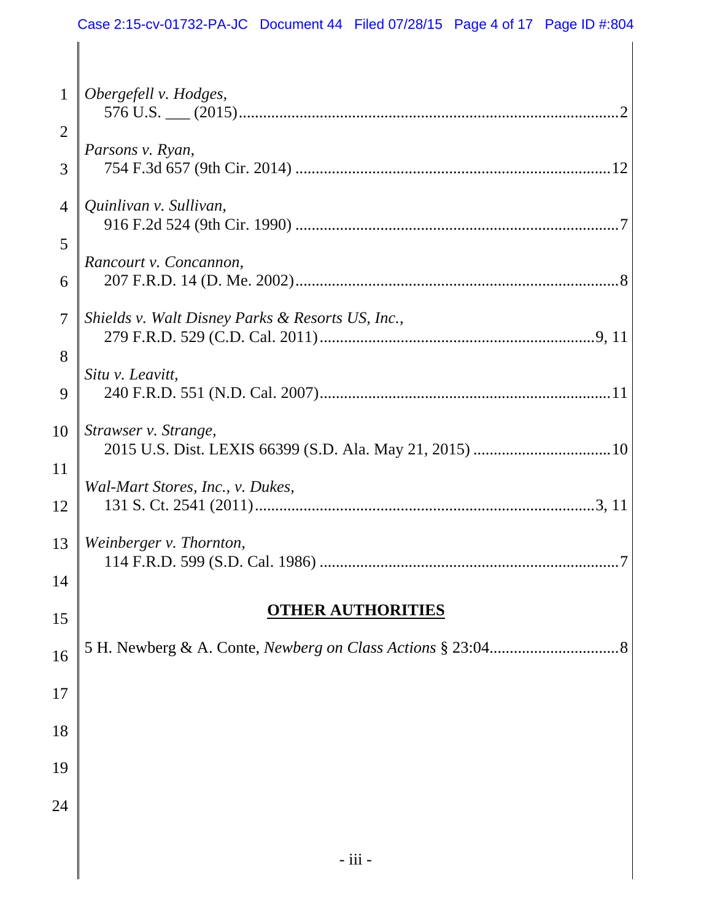| $\mathbf{1}$   | Obergefell v. Hodges,                            |
|----------------|--------------------------------------------------|
| $\overline{2}$ |                                                  |
| 3              | Parsons v. Ryan,                                 |
| 4              | Quinlivan v. Sullivan,                           |
| 5              |                                                  |
| 6              | Rancourt v. Concannon,                           |
| 7              | Shields v. Walt Disney Parks & Resorts US, Inc., |
| 8              |                                                  |
| 9              | Situ v. Leavitt,                                 |
| 10             | Strawser v. Strange,                             |
| 11             |                                                  |
| 12             | Wal-Mart Stores, Inc., v. Dukes,                 |
| 13             | Weinberger v. Thornton,                          |
| 14             |                                                  |
| 15             | <b>THER AUTHORITIES</b>                          |
| 16             | .8                                               |
| 17             |                                                  |
| 18             |                                                  |
| 19             |                                                  |
| 24             |                                                  |
|                |                                                  |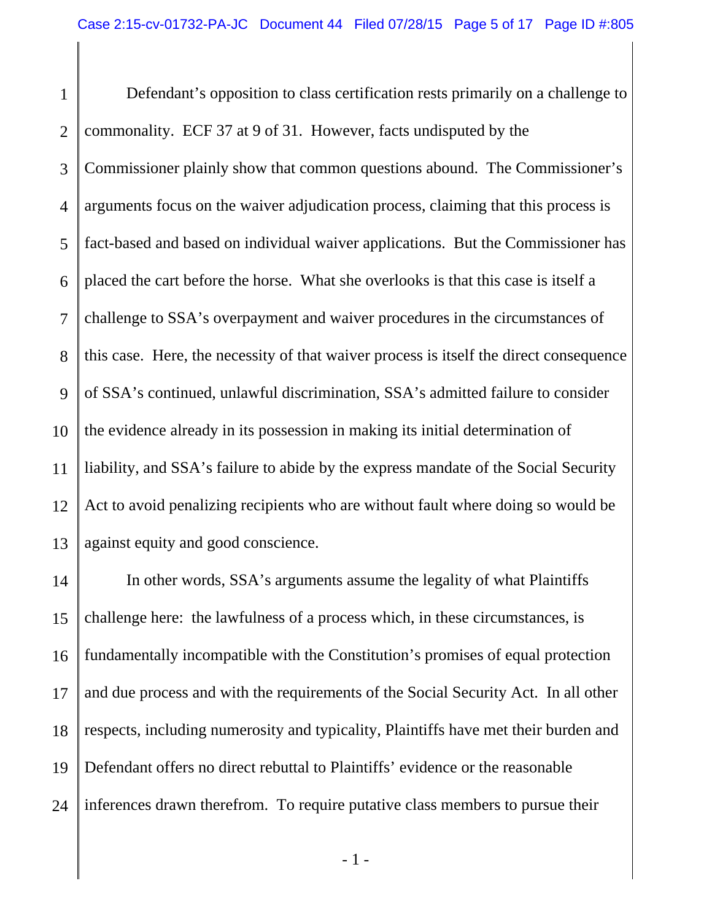1 2 3 4 5 6 7 8 9 10 11 12 13 Defendant's opposition to class certification rests primarily on a challenge to commonality. ECF 37 at 9 of 31. However, facts undisputed by the Commissioner plainly show that common questions abound. The Commissioner's arguments focus on the waiver adjudication process, claiming that this process is fact-based and based on individual waiver applications. But the Commissioner has placed the cart before the horse. What she overlooks is that this case is itself a challenge to SSA's overpayment and waiver procedures in the circumstances of this case. Here, the necessity of that waiver process is itself the direct consequence of SSA's continued, unlawful discrimination, SSA's admitted failure to consider the evidence already in its possession in making its initial determination of liability, and SSA's failure to abide by the express mandate of the Social Security Act to avoid penalizing recipients who are without fault where doing so would be against equity and good conscience.

14 15 16 17 18 19 24 In other words, SSA's arguments assume the legality of what Plaintiffs challenge here: the lawfulness of a process which, in these circumstances, is fundamentally incompatible with the Constitution's promises of equal protection and due process and with the requirements of the Social Security Act. In all other respects, including numerosity and typicality, Plaintiffs have met their burden and Defendant offers no direct rebuttal to Plaintiffs' evidence or the reasonable inferences drawn therefrom. To require putative class members to pursue their

- 1 -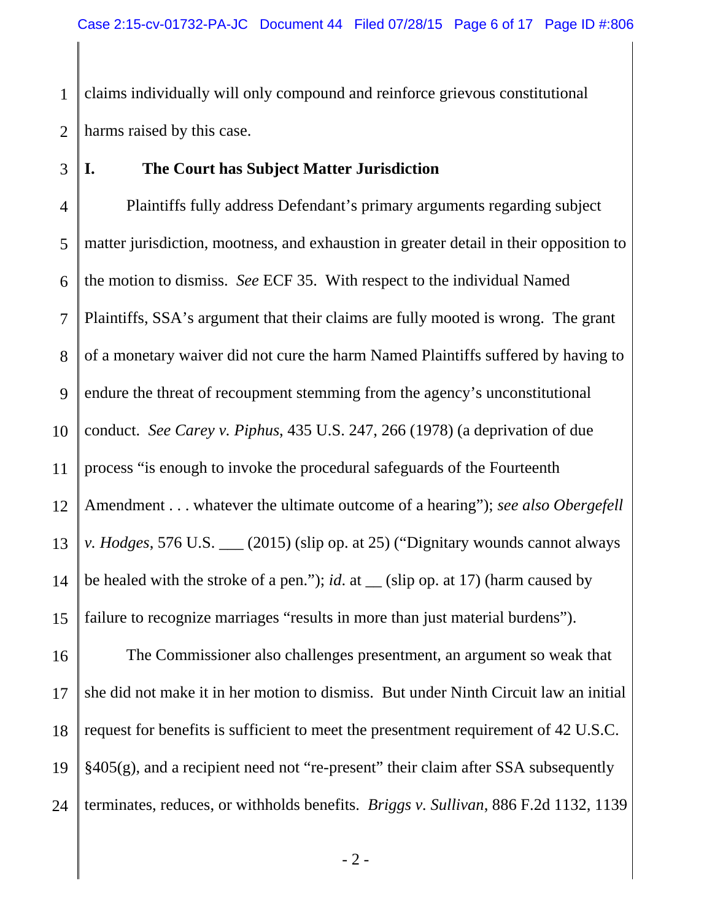1 2 claims individually will only compound and reinforce grievous constitutional harms raised by this case.

# 3

# **I. The Court has Subject Matter Jurisdiction**

4 5 6 7 8 9 10 11 12 13 14 15 Plaintiffs fully address Defendant's primary arguments regarding subject matter jurisdiction, mootness, and exhaustion in greater detail in their opposition to the motion to dismiss. *See* ECF 35. With respect to the individual Named Plaintiffs, SSA's argument that their claims are fully mooted is wrong. The grant of a monetary waiver did not cure the harm Named Plaintiffs suffered by having to endure the threat of recoupment stemming from the agency's unconstitutional conduct. *See Carey v. Piphus*, 435 U.S. 247, 266 (1978) (a deprivation of due process "is enough to invoke the procedural safeguards of the Fourteenth Amendment . . . whatever the ultimate outcome of a hearing"); *see also Obergefell v. Hodges*, 576 U.S. \_\_\_ (2015) (slip op. at 25) ("Dignitary wounds cannot always be healed with the stroke of a pen."); *id*. at \_\_ (slip op. at 17) (harm caused by failure to recognize marriages "results in more than just material burdens").

16 17 18 19 24 The Commissioner also challenges presentment, an argument so weak that she did not make it in her motion to dismiss. But under Ninth Circuit law an initial request for benefits is sufficient to meet the presentment requirement of 42 U.S.C. §405(g), and a recipient need not "re-present" their claim after SSA subsequently terminates, reduces, or withholds benefits. *Briggs v. Sullivan*, 886 F.2d 1132, 1139

- 2 -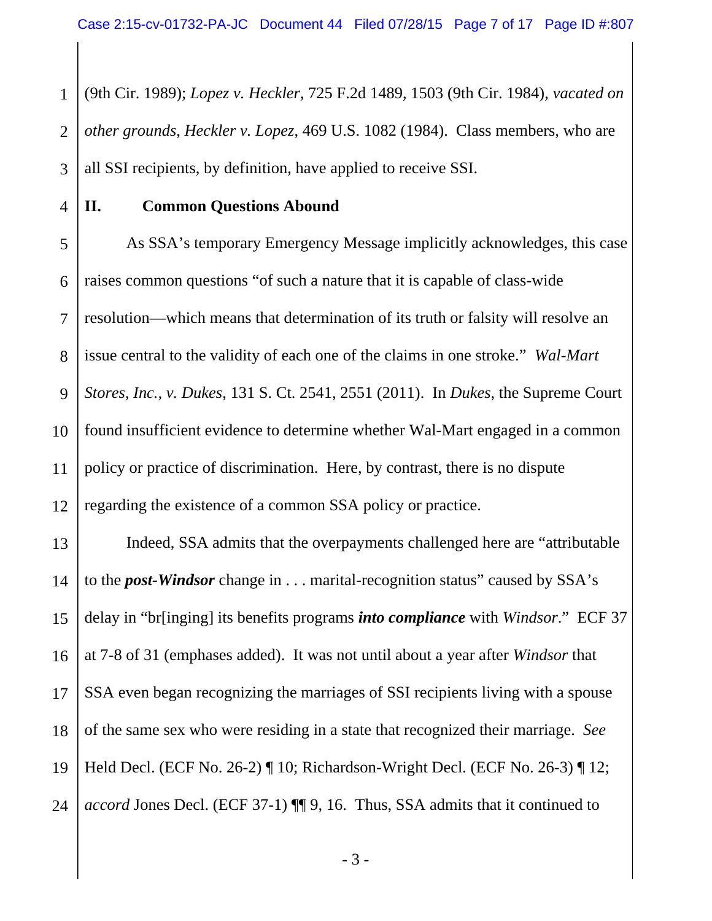1 2 3 (9th Cir. 1989); *Lopez v. Heckler*, 725 F.2d 1489, 1503 (9th Cir. 1984), *vacated on other grounds*, *Heckler v. Lopez*, 469 U.S. 1082 (1984). Class members, who are all SSI recipients, by definition, have applied to receive SSI.

4

## **II. Common Questions Abound**

5 6 7 8 9 10 11 12 As SSA's temporary Emergency Message implicitly acknowledges, this case raises common questions "of such a nature that it is capable of class-wide resolution—which means that determination of its truth or falsity will resolve an issue central to the validity of each one of the claims in one stroke." *Wal-Mart Stores, Inc., v. Dukes*, 131 S. Ct. 2541, 2551 (2011). In *Dukes*, the Supreme Court found insufficient evidence to determine whether Wal-Mart engaged in a common policy or practice of discrimination. Here, by contrast, there is no dispute regarding the existence of a common SSA policy or practice.

13 14 15 16 17 18 19 24 Indeed, SSA admits that the overpayments challenged here are "attributable to the *post-Windsor* change in . . . marital-recognition status" caused by SSA's delay in "br[inging] its benefits programs *into compliance* with *Windsor*." ECF 37 at 7-8 of 31 (emphases added). It was not until about a year after *Windsor* that SSA even began recognizing the marriages of SSI recipients living with a spouse of the same sex who were residing in a state that recognized their marriage. *See* Held Decl. (ECF No. 26-2) ¶ 10; Richardson-Wright Decl. (ECF No. 26-3) ¶ 12; *accord* Jones Decl. (ECF 37-1)  $\P\P$  9, 16. Thus, SSA admits that it continued to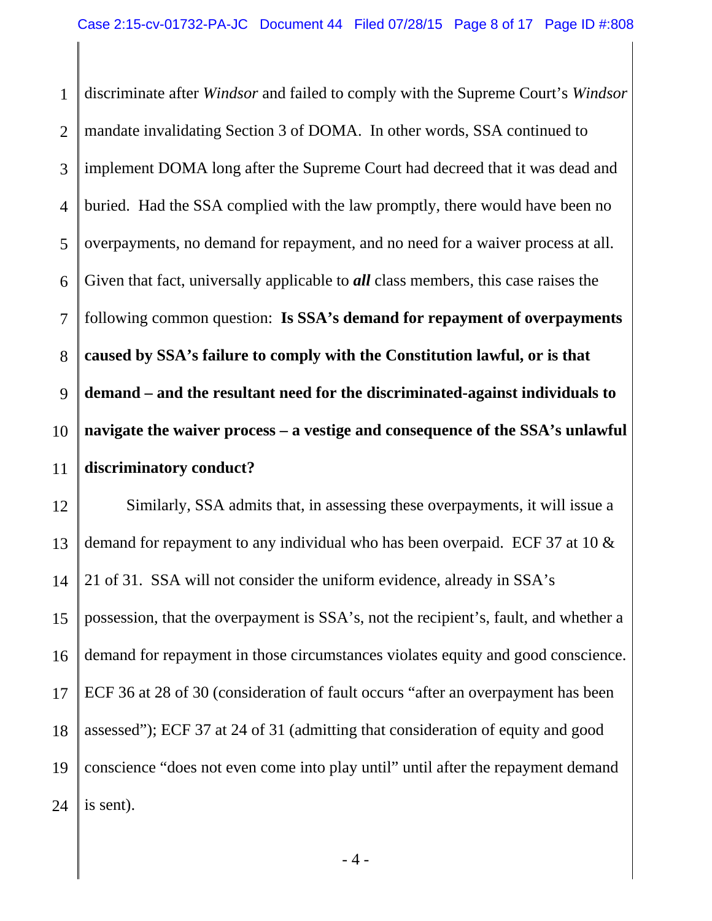1 2 3 4 5 6 7 8 9 10 11 discriminate after *Windsor* and failed to comply with the Supreme Court's *Windsor*  mandate invalidating Section 3 of DOMA. In other words, SSA continued to implement DOMA long after the Supreme Court had decreed that it was dead and buried. Had the SSA complied with the law promptly, there would have been no overpayments, no demand for repayment, and no need for a waiver process at all. Given that fact, universally applicable to *all* class members, this case raises the following common question: **Is SSA's demand for repayment of overpayments caused by SSA's failure to comply with the Constitution lawful, or is that demand – and the resultant need for the discriminated-against individuals to navigate the waiver process – a vestige and consequence of the SSA's unlawful discriminatory conduct?** 

12 13 14 15 16 17 18 19 24 Similarly, SSA admits that, in assessing these overpayments, it will issue a demand for repayment to any individual who has been overpaid. ECF 37 at 10 & 21 of 31. SSA will not consider the uniform evidence, already in SSA's possession, that the overpayment is SSA's, not the recipient's, fault, and whether a demand for repayment in those circumstances violates equity and good conscience. ECF 36 at 28 of 30 (consideration of fault occurs "after an overpayment has been assessed"); ECF 37 at 24 of 31 (admitting that consideration of equity and good conscience "does not even come into play until" until after the repayment demand is sent).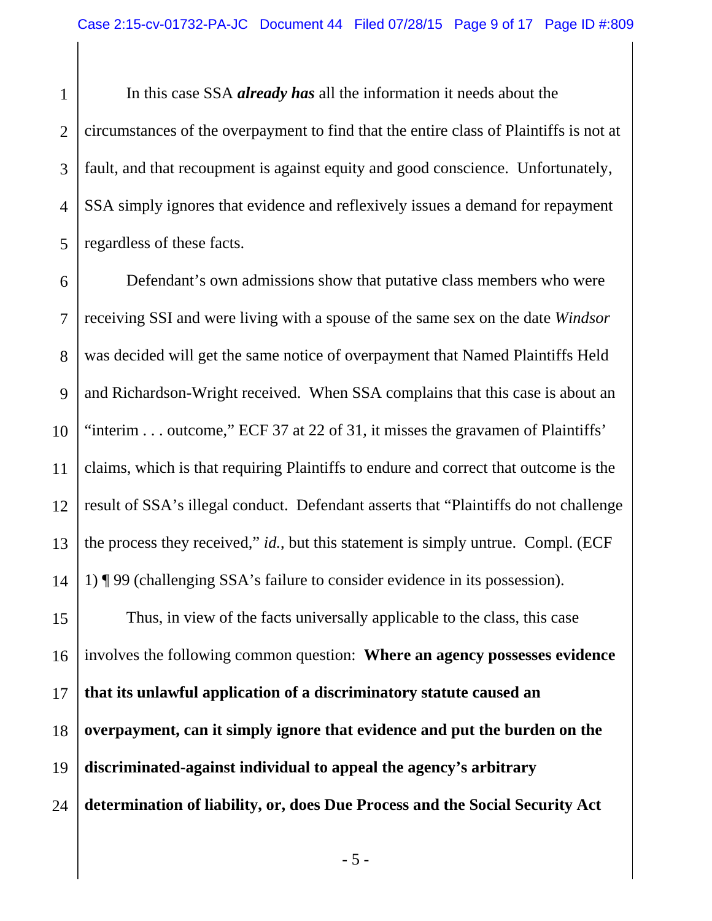1 2 3 4 5 In this case SSA *already has* all the information it needs about the circumstances of the overpayment to find that the entire class of Plaintiffs is not at fault, and that recoupment is against equity and good conscience. Unfortunately, SSA simply ignores that evidence and reflexively issues a demand for repayment regardless of these facts.

6 7 8 9 10 11 12 13 14 Defendant's own admissions show that putative class members who were receiving SSI and were living with a spouse of the same sex on the date *Windsor*  was decided will get the same notice of overpayment that Named Plaintiffs Held and Richardson-Wright received. When SSA complains that this case is about an "interim . . . outcome," ECF 37 at 22 of 31, it misses the gravamen of Plaintiffs' claims, which is that requiring Plaintiffs to endure and correct that outcome is the result of SSA's illegal conduct. Defendant asserts that "Plaintiffs do not challenge the process they received," *id.*, but this statement is simply untrue. Compl. (ECF 1) ¶ 99 (challenging SSA's failure to consider evidence in its possession).

15 16 17 18 19 24 Thus, in view of the facts universally applicable to the class, this case involves the following common question: **Where an agency possesses evidence that its unlawful application of a discriminatory statute caused an overpayment, can it simply ignore that evidence and put the burden on the discriminated-against individual to appeal the agency's arbitrary determination of liability, or, does Due Process and the Social Security Act** 

- 5 -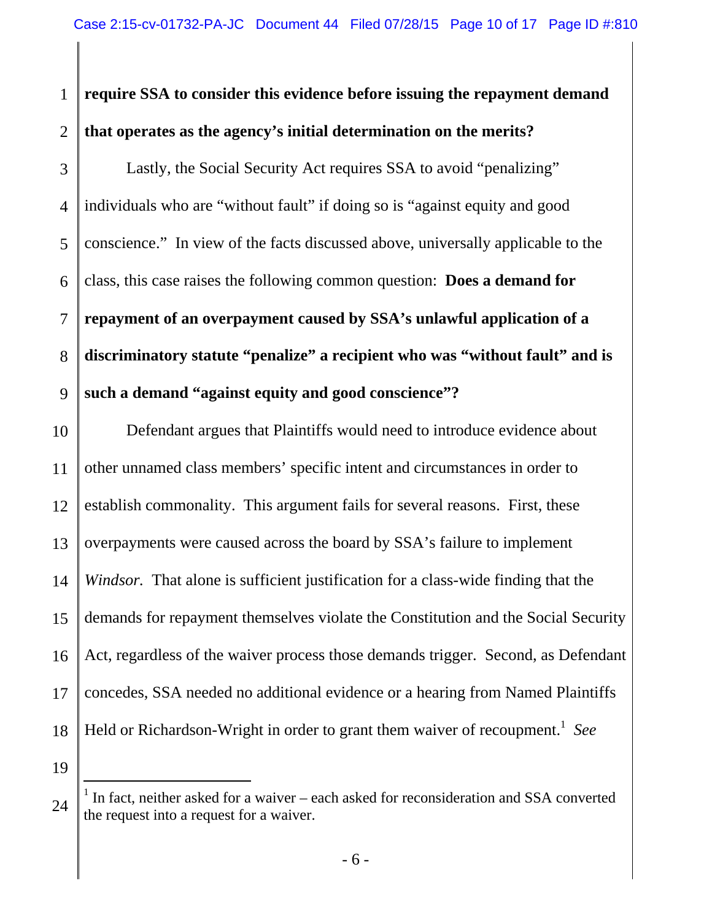#### 1 2 **require SSA to consider this evidence before issuing the repayment demand that operates as the agency's initial determination on the merits?**

3 4 5 6 7 8 9 Lastly, the Social Security Act requires SSA to avoid "penalizing" individuals who are "without fault" if doing so is "against equity and good conscience." In view of the facts discussed above, universally applicable to the class, this case raises the following common question: **Does a demand for repayment of an overpayment caused by SSA's unlawful application of a discriminatory statute "penalize" a recipient who was "without fault" and is such a demand "against equity and good conscience"?**

10 11 12 13 14 15 16 17 18 Defendant argues that Plaintiffs would need to introduce evidence about other unnamed class members' specific intent and circumstances in order to establish commonality. This argument fails for several reasons. First, these overpayments were caused across the board by SSA's failure to implement *Windsor.* That alone is sufficient justification for a class-wide finding that the demands for repayment themselves violate the Constitution and the Social Security Act, regardless of the waiver process those demands trigger. Second, as Defendant concedes, SSA needed no additional evidence or a hearing from Named Plaintiffs Held or Richardson-Wright in order to grant them waiver of recoupment.<sup>1</sup> See

19

24

 $\overline{a}$ <sup>1</sup> In fact, neither asked for a waiver – each asked for reconsideration and SSA converted the request into a request for a waiver.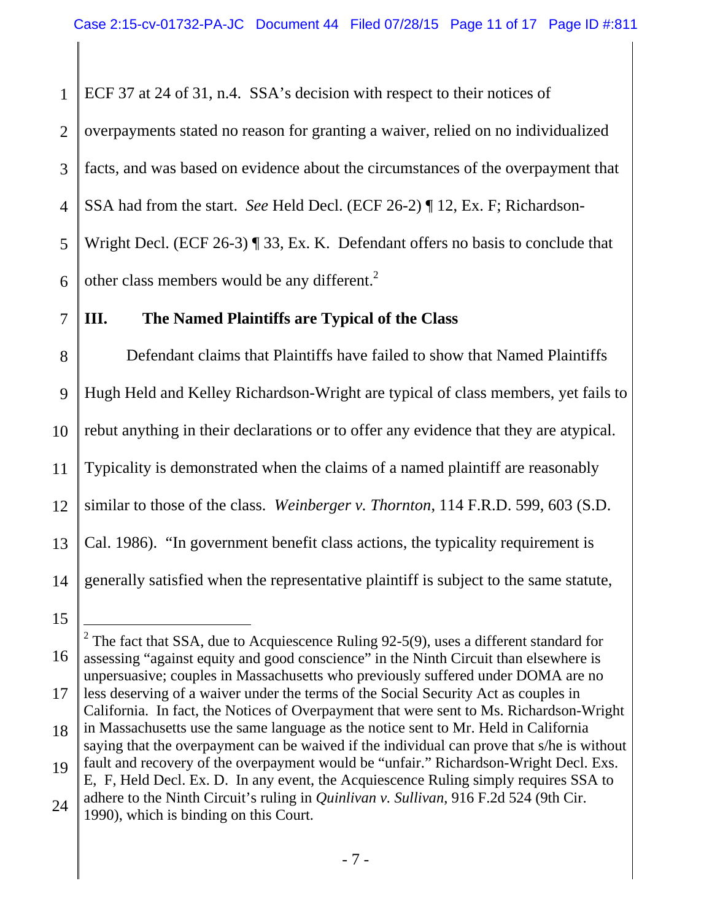1 ECF 37 at 24 of 31, n.4. SSA's decision with respect to their notices of

2 3 4 5 6 overpayments stated no reason for granting a waiver, relied on no individualized facts, and was based on evidence about the circumstances of the overpayment that SSA had from the start. *See* Held Decl. (ECF 26-2) ¶ 12, Ex. F; Richardson-Wright Decl. (ECF 26-3) ¶ 33, Ex. K. Defendant offers no basis to conclude that other class members would be any different. $2$ 

# **III. The Named Plaintiffs are Typical of the Class**

8 9 10 11 12 13 14 Defendant claims that Plaintiffs have failed to show that Named Plaintiffs Hugh Held and Kelley Richardson-Wright are typical of class members, yet fails to rebut anything in their declarations or to offer any evidence that they are atypical. Typicality is demonstrated when the claims of a named plaintiff are reasonably similar to those of the class. *Weinberger v. Thornton*, 114 F.R.D. 599, 603 (S.D. Cal. 1986). "In government benefit class actions, the typicality requirement is generally satisfied when the representative plaintiff is subject to the same statute,

7

<sup>15</sup> 

<sup>16</sup>  17 18 19 l <sup>2</sup> The fact that SSA, due to Acquiescence Ruling 92-5(9), uses a different standard for assessing "against equity and good conscience" in the Ninth Circuit than elsewhere is unpersuasive; couples in Massachusetts who previously suffered under DOMA are no less deserving of a waiver under the terms of the Social Security Act as couples in California. In fact, the Notices of Overpayment that were sent to Ms. Richardson-Wright in Massachusetts use the same language as the notice sent to Mr. Held in California saying that the overpayment can be waived if the individual can prove that s/he is without fault and recovery of the overpayment would be "unfair." Richardson-Wright Decl. Exs.

<sup>24</sup>  E, F, Held Decl. Ex. D. In any event, the Acquiescence Ruling simply requires SSA to adhere to the Ninth Circuit's ruling in *Quinlivan v. Sullivan*, 916 F.2d 524 (9th Cir. 1990), which is binding on this Court.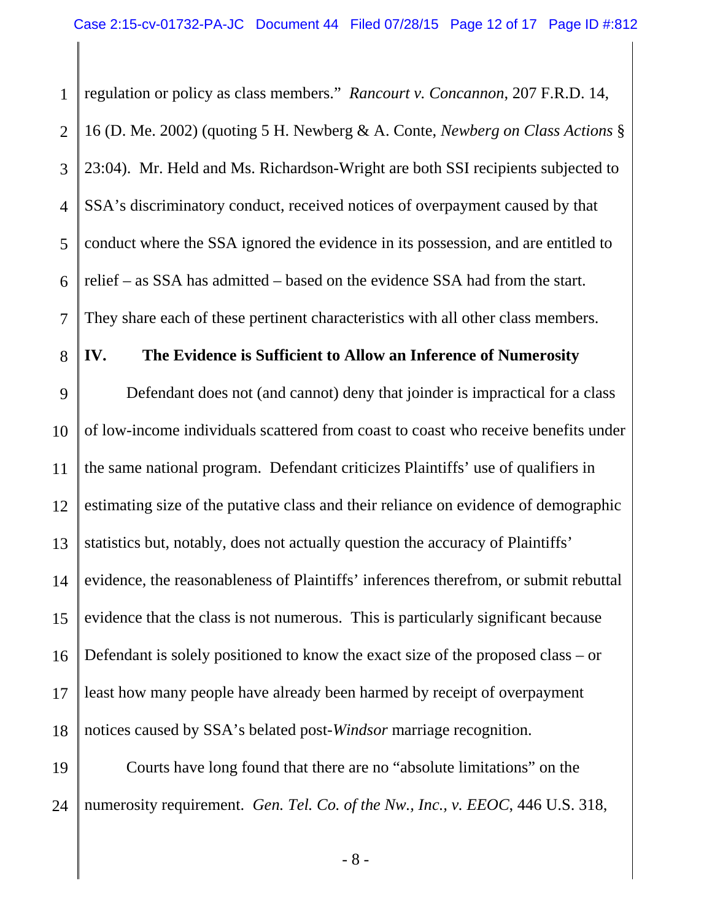1 2 3 4 5 6 7 regulation or policy as class members." *Rancourt v. Concannon*, 207 F.R.D. 14, 16 (D. Me. 2002) (quoting 5 H. Newberg & A. Conte, *Newberg on Class Actions* § 23:04). Mr. Held and Ms. Richardson-Wright are both SSI recipients subjected to SSA's discriminatory conduct, received notices of overpayment caused by that conduct where the SSA ignored the evidence in its possession, and are entitled to relief – as SSA has admitted – based on the evidence SSA had from the start. They share each of these pertinent characteristics with all other class members.

### **IV. The Evidence is Sufficient to Allow an Inference of Numerosity**

8

9 10 11 12 13 14 15 16 17 18 Defendant does not (and cannot) deny that joinder is impractical for a class of low-income individuals scattered from coast to coast who receive benefits under the same national program. Defendant criticizes Plaintiffs' use of qualifiers in estimating size of the putative class and their reliance on evidence of demographic statistics but, notably, does not actually question the accuracy of Plaintiffs' evidence, the reasonableness of Plaintiffs' inferences therefrom, or submit rebuttal evidence that the class is not numerous. This is particularly significant because Defendant is solely positioned to know the exact size of the proposed class – or least how many people have already been harmed by receipt of overpayment notices caused by SSA's belated post-*Windsor* marriage recognition.

19 24 Courts have long found that there are no "absolute limitations" on the numerosity requirement. *Gen. Tel. Co. of the Nw., Inc., v. EEOC*, 446 U.S. 318,

- 8 -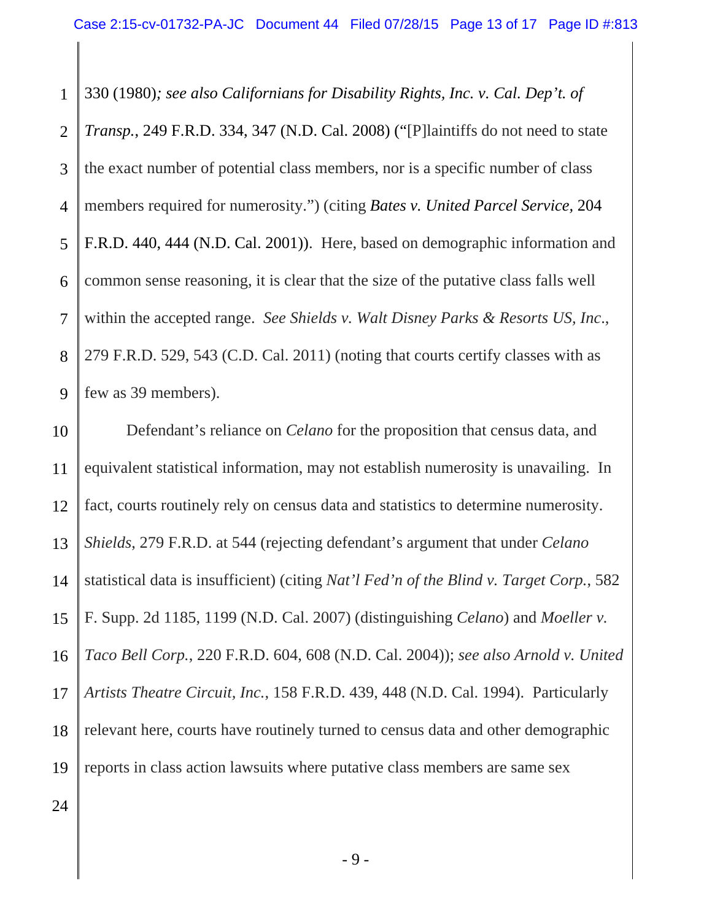1 2 3 4 5 6 7 8 9 330 (1980)*; see also Californians for Disability Rights, Inc. v. Cal. Dep't. of Transp.*, 249 F.R.D. 334, 347 (N.D. Cal. 2008) ("[P]laintiffs do not need to state the exact number of potential class members, nor is a specific number of class members required for numerosity.") (citing *Bates v. United Parcel Service,* 204 F.R.D. 440, 444 (N.D. Cal. 2001)). Here, based on demographic information and common sense reasoning, it is clear that the size of the putative class falls well within the accepted range. *See Shields v. Walt Disney Parks & Resorts US, Inc*., 279 F.R.D. 529, 543 (C.D. Cal. 2011) (noting that courts certify classes with as few as 39 members).

10 11 12 13 14 15 16 17 18 19 Defendant's reliance on *Celano* for the proposition that census data, and equivalent statistical information, may not establish numerosity is unavailing. In fact, courts routinely rely on census data and statistics to determine numerosity. *Shields*, 279 F.R.D. at 544 (rejecting defendant's argument that under *Celano*  statistical data is insufficient) (citing *Nat'l Fed'n of the Blind v. Target Corp.*, 582 F. Supp. 2d 1185, 1199 (N.D. Cal. 2007) (distinguishing *Celano*) and *Moeller v. Taco Bell Corp.*, 220 F.R.D. 604, 608 (N.D. Cal. 2004)); *see also Arnold v. United Artists Theatre Circuit, Inc.*, 158 F.R.D. 439, 448 (N.D. Cal. 1994). Particularly relevant here, courts have routinely turned to census data and other demographic reports in class action lawsuits where putative class members are same sex

24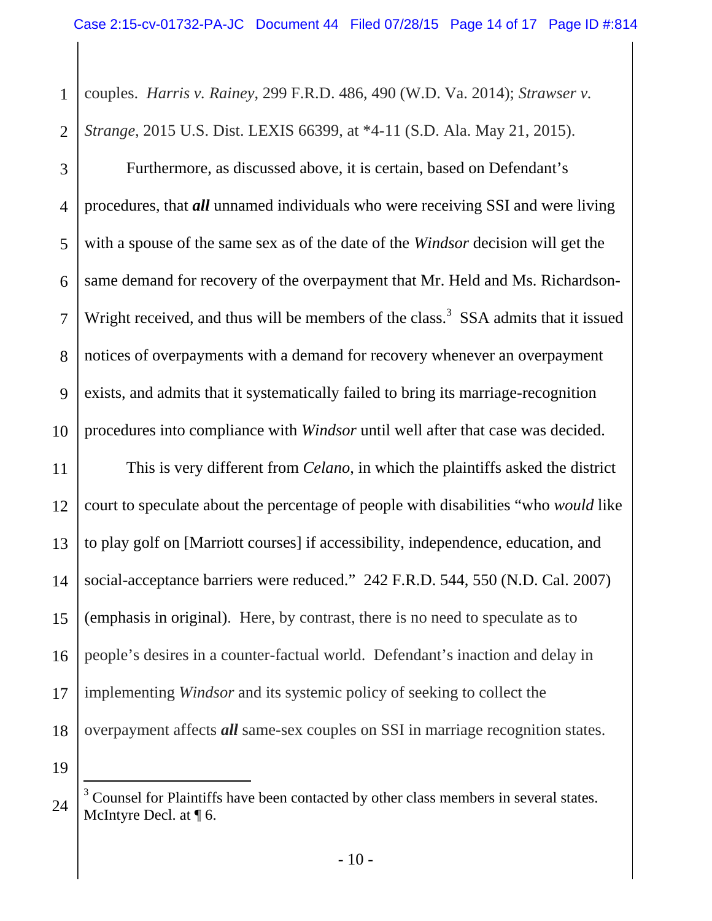1 2 couples. *Harris v. Rainey*, 299 F.R.D. 486, 490 (W.D. Va. 2014); *Strawser v. Strange*, 2015 U.S. Dist. LEXIS 66399, at \*4-11 (S.D. Ala. May 21, 2015).

3 4 5 6 7 8 9 10 Furthermore, as discussed above, it is certain, based on Defendant's procedures, that *all* unnamed individuals who were receiving SSI and were living with a spouse of the same sex as of the date of the *Windsor* decision will get the same demand for recovery of the overpayment that Mr. Held and Ms. Richardson-Wright received, and thus will be members of the class.<sup>3</sup> SSA admits that it issued notices of overpayments with a demand for recovery whenever an overpayment exists, and admits that it systematically failed to bring its marriage-recognition procedures into compliance with *Windsor* until well after that case was decided.

11 12 13 14 15 16 17 18 19 This is very different from *Celano*, in which the plaintiffs asked the district court to speculate about the percentage of people with disabilities "who *would* like to play golf on [Marriott courses] if accessibility, independence, education, and social-acceptance barriers were reduced." 242 F.R.D. 544, 550 (N.D. Cal. 2007) (emphasis in original). Here, by contrast, there is no need to speculate as to people's desires in a counter-factual world. Defendant's inaction and delay in implementing *Windsor* and its systemic policy of seeking to collect the overpayment affects *all* same-sex couples on SSI in marriage recognition states. -

<sup>24</sup>   $3$  Counsel for Plaintiffs have been contacted by other class members in several states. McIntyre Decl. at ¶ 6.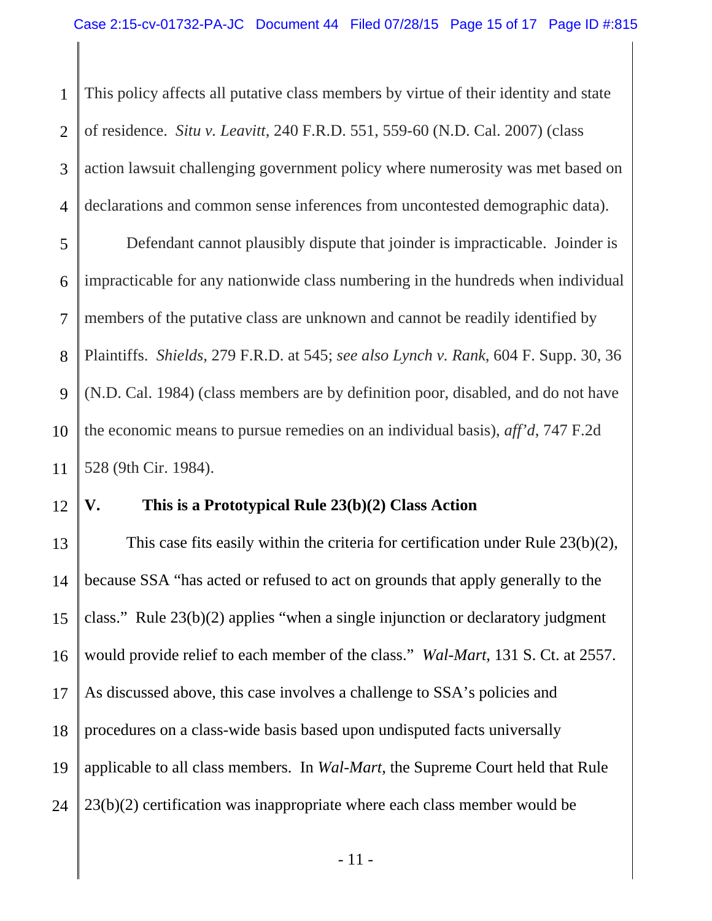1 2 3 4 This policy affects all putative class members by virtue of their identity and state of residence. *Situ v. Leavitt*, 240 F.R.D. 551, 559-60 (N.D. Cal. 2007) (class action lawsuit challenging government policy where numerosity was met based on declarations and common sense inferences from uncontested demographic data).

5 6 7 8 9 10 11 Defendant cannot plausibly dispute that joinder is impracticable. Joinder is impracticable for any nationwide class numbering in the hundreds when individual members of the putative class are unknown and cannot be readily identified by Plaintiffs. *Shields*, 279 F.R.D. at 545; *see also Lynch v. Rank*, 604 F. Supp. 30, 36 (N.D. Cal. 1984) (class members are by definition poor, disabled, and do not have the economic means to pursue remedies on an individual basis), *aff'd*, 747 F.2d 528 (9th Cir. 1984).

### **V. This is a Prototypical Rule 23(b)(2) Class Action**

12

13 14 15 16 17 18 19 24 This case fits easily within the criteria for certification under Rule 23(b)(2), because SSA "has acted or refused to act on grounds that apply generally to the class." Rule 23(b)(2) applies "when a single injunction or declaratory judgment would provide relief to each member of the class." *Wal-Mart*, 131 S. Ct. at 2557. As discussed above, this case involves a challenge to SSA's policies and procedures on a class-wide basis based upon undisputed facts universally applicable to all class members. In *Wal-Mart*, the Supreme Court held that Rule 23(b)(2) certification was inappropriate where each class member would be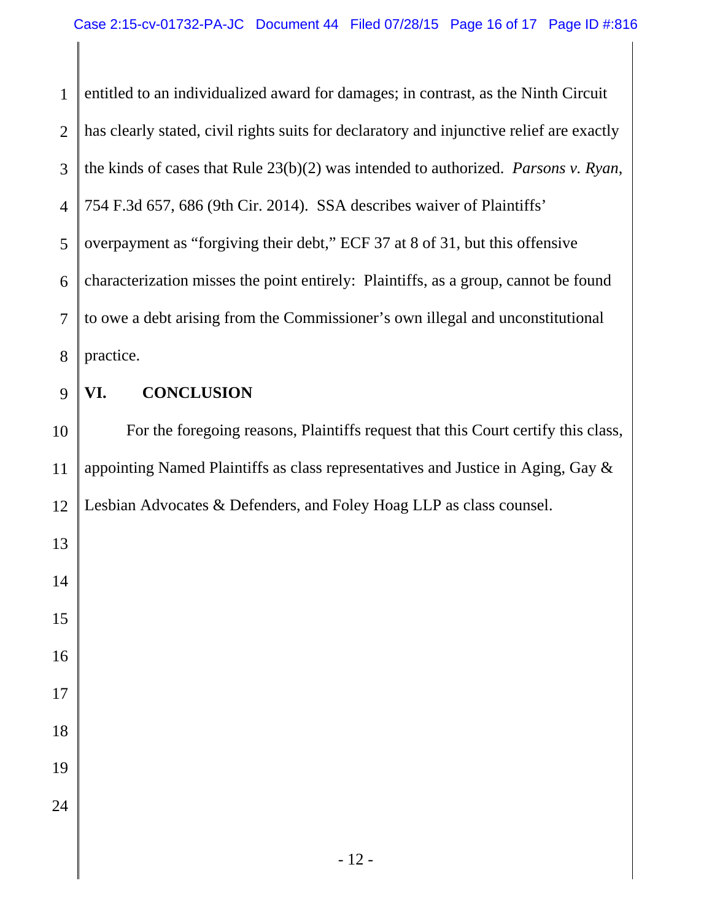1 2 3 4 5 6 7 8 entitled to an individualized award for damages; in contrast, as the Ninth Circuit has clearly stated, civil rights suits for declaratory and injunctive relief are exactly the kinds of cases that Rule 23(b)(2) was intended to authorized. *Parsons v. Ryan*, 754 F.3d 657, 686 (9th Cir. 2014). SSA describes waiver of Plaintiffs' overpayment as "forgiving their debt," ECF 37 at 8 of 31, but this offensive characterization misses the point entirely: Plaintiffs, as a group, cannot be found to owe a debt arising from the Commissioner's own illegal and unconstitutional practice.

9

13

14

15

16

17

18

19

24

## **VI. CONCLUSION**

10 11 12 For the foregoing reasons, Plaintiffs request that this Court certify this class, appointing Named Plaintiffs as class representatives and Justice in Aging, Gay & Lesbian Advocates & Defenders, and Foley Hoag LLP as class counsel.